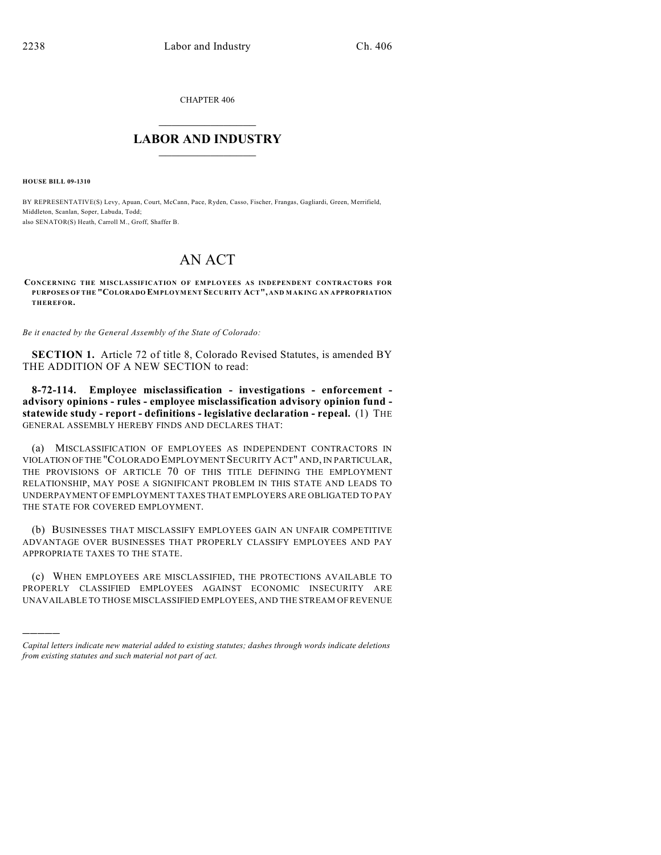CHAPTER 406

## $\overline{\phantom{a}}$  . The set of the set of the set of the set of the set of the set of the set of the set of the set of the set of the set of the set of the set of the set of the set of the set of the set of the set of the set o **LABOR AND INDUSTRY**  $\frac{1}{\sqrt{2}}$  ,  $\frac{1}{\sqrt{2}}$  ,  $\frac{1}{\sqrt{2}}$  ,  $\frac{1}{\sqrt{2}}$  ,  $\frac{1}{\sqrt{2}}$  ,  $\frac{1}{\sqrt{2}}$

**HOUSE BILL 09-1310**

)))))

BY REPRESENTATIVE(S) Levy, Apuan, Court, McCann, Pace, Ryden, Casso, Fischer, Frangas, Gagliardi, Green, Merrifield, Middleton, Scanlan, Soper, Labuda, Todd; also SENATOR(S) Heath, Carroll M., Groff, Shaffer B.

## AN ACT

**CONCERNING THE MISCLASSIFICATION OF EMPLOYEES AS INDEPENDENT CONTRACTORS FOR PURPOSES OF THE "COLORADO EMPLOYMENT SECURITY ACT", AND MAKING AN APPROPRIATION THEREFOR.**

*Be it enacted by the General Assembly of the State of Colorado:*

**SECTION 1.** Article 72 of title 8, Colorado Revised Statutes, is amended BY THE ADDITION OF A NEW SECTION to read:

**8-72-114. Employee misclassification - investigations - enforcement advisory opinions - rules - employee misclassification advisory opinion fund statewide study - report - definitions - legislative declaration - repeal.** (1) THE GENERAL ASSEMBLY HEREBY FINDS AND DECLARES THAT:

(a) MISCLASSIFICATION OF EMPLOYEES AS INDEPENDENT CONTRACTORS IN VIOLATION OF THE "COLORADO EMPLOYMENT SECURITY ACT" AND, IN PARTICULAR, THE PROVISIONS OF ARTICLE 70 OF THIS TITLE DEFINING THE EMPLOYMENT RELATIONSHIP, MAY POSE A SIGNIFICANT PROBLEM IN THIS STATE AND LEADS TO UNDERPAYMENT OF EMPLOYMENT TAXES THAT EMPLOYERS ARE OBLIGATED TO PAY THE STATE FOR COVERED EMPLOYMENT.

(b) BUSINESSES THAT MISCLASSIFY EMPLOYEES GAIN AN UNFAIR COMPETITIVE ADVANTAGE OVER BUSINESSES THAT PROPERLY CLASSIFY EMPLOYEES AND PAY APPROPRIATE TAXES TO THE STATE.

(c) WHEN EMPLOYEES ARE MISCLASSIFIED, THE PROTECTIONS AVAILABLE TO PROPERLY CLASSIFIED EMPLOYEES AGAINST ECONOMIC INSECURITY ARE UNAVAILABLE TO THOSE MISCLASSIFIED EMPLOYEES, AND THE STREAM OF REVENUE

*Capital letters indicate new material added to existing statutes; dashes through words indicate deletions from existing statutes and such material not part of act.*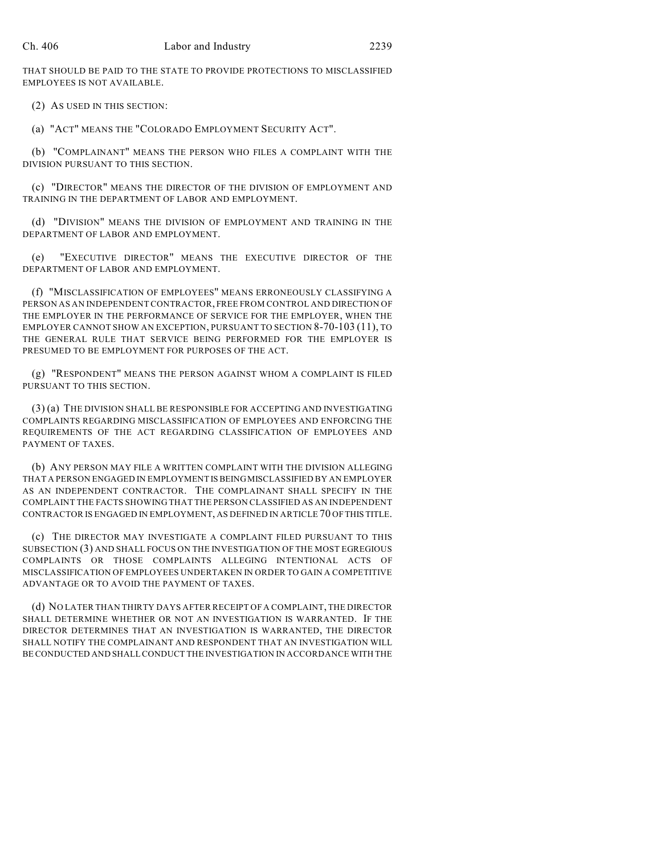THAT SHOULD BE PAID TO THE STATE TO PROVIDE PROTECTIONS TO MISCLASSIFIED EMPLOYEES IS NOT AVAILABLE.

(2) AS USED IN THIS SECTION:

(a) "ACT" MEANS THE "COLORADO EMPLOYMENT SECURITY ACT".

(b) "COMPLAINANT" MEANS THE PERSON WHO FILES A COMPLAINT WITH THE DIVISION PURSUANT TO THIS SECTION.

(c) "DIRECTOR" MEANS THE DIRECTOR OF THE DIVISION OF EMPLOYMENT AND TRAINING IN THE DEPARTMENT OF LABOR AND EMPLOYMENT.

(d) "DIVISION" MEANS THE DIVISION OF EMPLOYMENT AND TRAINING IN THE DEPARTMENT OF LABOR AND EMPLOYMENT.

(e) "EXECUTIVE DIRECTOR" MEANS THE EXECUTIVE DIRECTOR OF THE DEPARTMENT OF LABOR AND EMPLOYMENT.

(f) "MISCLASSIFICATION OF EMPLOYEES" MEANS ERRONEOUSLY CLASSIFYING A PERSON AS AN INDEPENDENT CONTRACTOR, FREE FROM CONTROL AND DIRECTION OF THE EMPLOYER IN THE PERFORMANCE OF SERVICE FOR THE EMPLOYER, WHEN THE EMPLOYER CANNOT SHOW AN EXCEPTION, PURSUANT TO SECTION 8-70-103 (11), TO THE GENERAL RULE THAT SERVICE BEING PERFORMED FOR THE EMPLOYER IS PRESUMED TO BE EMPLOYMENT FOR PURPOSES OF THE ACT.

(g) "RESPONDENT" MEANS THE PERSON AGAINST WHOM A COMPLAINT IS FILED PURSUANT TO THIS SECTION.

(3) (a) THE DIVISION SHALL BE RESPONSIBLE FOR ACCEPTING AND INVESTIGATING COMPLAINTS REGARDING MISCLASSIFICATION OF EMPLOYEES AND ENFORCING THE REQUIREMENTS OF THE ACT REGARDING CLASSIFICATION OF EMPLOYEES AND PAYMENT OF TAXES.

(b) ANY PERSON MAY FILE A WRITTEN COMPLAINT WITH THE DIVISION ALLEGING THAT A PERSON ENGAGED IN EMPLOYMENT IS BEING MISCLASSIFIED BY AN EMPLOYER AS AN INDEPENDENT CONTRACTOR. THE COMPLAINANT SHALL SPECIFY IN THE COMPLAINT THE FACTS SHOWING THAT THE PERSON CLASSIFIED AS AN INDEPENDENT CONTRACTOR IS ENGAGED IN EMPLOYMENT, AS DEFINED IN ARTICLE 70 OF THIS TITLE.

(c) THE DIRECTOR MAY INVESTIGATE A COMPLAINT FILED PURSUANT TO THIS SUBSECTION (3) AND SHALL FOCUS ON THE INVESTIGATION OF THE MOST EGREGIOUS COMPLAINTS OR THOSE COMPLAINTS ALLEGING INTENTIONAL ACTS OF MISCLASSIFICATION OF EMPLOYEES UNDERTAKEN IN ORDER TO GAIN A COMPETITIVE ADVANTAGE OR TO AVOID THE PAYMENT OF TAXES.

(d) NO LATER THAN THIRTY DAYS AFTER RECEIPT OF A COMPLAINT, THE DIRECTOR SHALL DETERMINE WHETHER OR NOT AN INVESTIGATION IS WARRANTED. IF THE DIRECTOR DETERMINES THAT AN INVESTIGATION IS WARRANTED, THE DIRECTOR SHALL NOTIFY THE COMPLAINANT AND RESPONDENT THAT AN INVESTIGATION WILL BE CONDUCTED AND SHALL CONDUCT THE INVESTIGATION IN ACCORDANCE WITH THE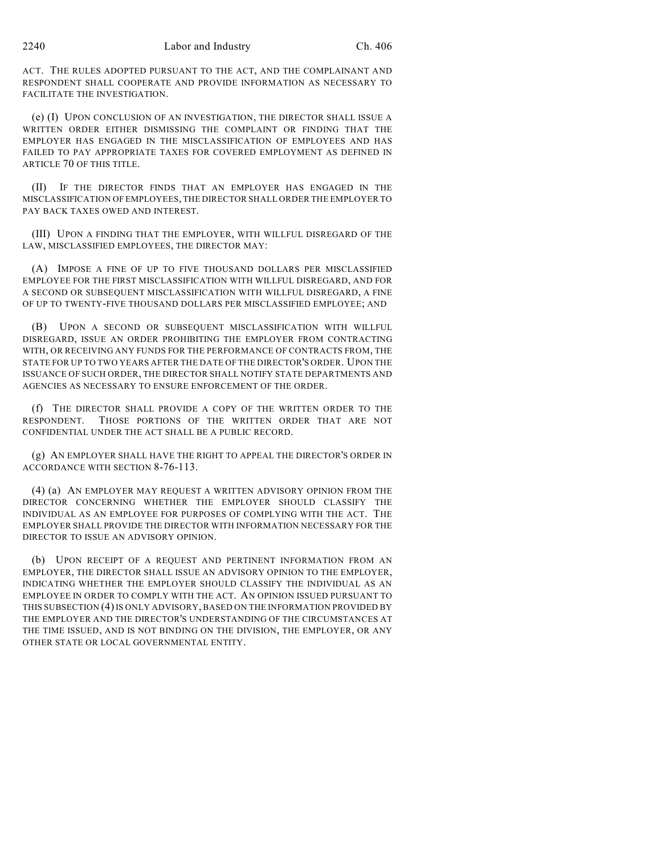ACT. THE RULES ADOPTED PURSUANT TO THE ACT, AND THE COMPLAINANT AND RESPONDENT SHALL COOPERATE AND PROVIDE INFORMATION AS NECESSARY TO FACILITATE THE INVESTIGATION.

(e) (I) UPON CONCLUSION OF AN INVESTIGATION, THE DIRECTOR SHALL ISSUE A WRITTEN ORDER EITHER DISMISSING THE COMPLAINT OR FINDING THAT THE EMPLOYER HAS ENGAGED IN THE MISCLASSIFICATION OF EMPLOYEES AND HAS FAILED TO PAY APPROPRIATE TAXES FOR COVERED EMPLOYMENT AS DEFINED IN ARTICLE 70 OF THIS TITLE.

(II) IF THE DIRECTOR FINDS THAT AN EMPLOYER HAS ENGAGED IN THE MISCLASSIFICATION OF EMPLOYEES, THE DIRECTOR SHALL ORDER THE EMPLOYER TO PAY BACK TAXES OWED AND INTEREST.

(III) UPON A FINDING THAT THE EMPLOYER, WITH WILLFUL DISREGARD OF THE LAW, MISCLASSIFIED EMPLOYEES, THE DIRECTOR MAY:

(A) IMPOSE A FINE OF UP TO FIVE THOUSAND DOLLARS PER MISCLASSIFIED EMPLOYEE FOR THE FIRST MISCLASSIFICATION WITH WILLFUL DISREGARD, AND FOR A SECOND OR SUBSEQUENT MISCLASSIFICATION WITH WILLFUL DISREGARD, A FINE OF UP TO TWENTY-FIVE THOUSAND DOLLARS PER MISCLASSIFIED EMPLOYEE; AND

(B) UPON A SECOND OR SUBSEQUENT MISCLASSIFICATION WITH WILLFUL DISREGARD, ISSUE AN ORDER PROHIBITING THE EMPLOYER FROM CONTRACTING WITH, OR RECEIVING ANY FUNDS FOR THE PERFORMANCE OF CONTRACTS FROM, THE STATE FOR UP TO TWO YEARS AFTER THE DATE OF THE DIRECTOR'S ORDER. UPON THE ISSUANCE OF SUCH ORDER, THE DIRECTOR SHALL NOTIFY STATE DEPARTMENTS AND AGENCIES AS NECESSARY TO ENSURE ENFORCEMENT OF THE ORDER.

(f) THE DIRECTOR SHALL PROVIDE A COPY OF THE WRITTEN ORDER TO THE RESPONDENT. THOSE PORTIONS OF THE WRITTEN ORDER THAT ARE NOT CONFIDENTIAL UNDER THE ACT SHALL BE A PUBLIC RECORD.

(g) AN EMPLOYER SHALL HAVE THE RIGHT TO APPEAL THE DIRECTOR'S ORDER IN ACCORDANCE WITH SECTION 8-76-113.

(4) (a) AN EMPLOYER MAY REQUEST A WRITTEN ADVISORY OPINION FROM THE DIRECTOR CONCERNING WHETHER THE EMPLOYER SHOULD CLASSIFY THE INDIVIDUAL AS AN EMPLOYEE FOR PURPOSES OF COMPLYING WITH THE ACT. THE EMPLOYER SHALL PROVIDE THE DIRECTOR WITH INFORMATION NECESSARY FOR THE DIRECTOR TO ISSUE AN ADVISORY OPINION.

(b) UPON RECEIPT OF A REQUEST AND PERTINENT INFORMATION FROM AN EMPLOYER, THE DIRECTOR SHALL ISSUE AN ADVISORY OPINION TO THE EMPLOYER, INDICATING WHETHER THE EMPLOYER SHOULD CLASSIFY THE INDIVIDUAL AS AN EMPLOYEE IN ORDER TO COMPLY WITH THE ACT. AN OPINION ISSUED PURSUANT TO THIS SUBSECTION (4) IS ONLY ADVISORY, BASED ON THE INFORMATION PROVIDED BY THE EMPLOYER AND THE DIRECTOR'S UNDERSTANDING OF THE CIRCUMSTANCES AT THE TIME ISSUED, AND IS NOT BINDING ON THE DIVISION, THE EMPLOYER, OR ANY OTHER STATE OR LOCAL GOVERNMENTAL ENTITY.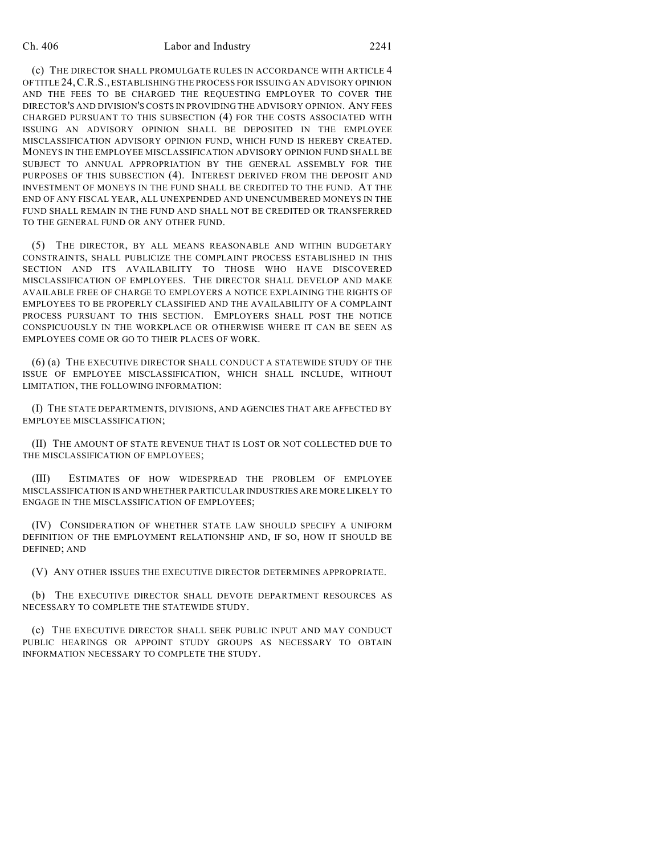## Ch. 406 Labor and Industry 2241

(c) THE DIRECTOR SHALL PROMULGATE RULES IN ACCORDANCE WITH ARTICLE 4 OF TITLE 24,C.R.S., ESTABLISHING THE PROCESS FOR ISSUING AN ADVISORY OPINION AND THE FEES TO BE CHARGED THE REQUESTING EMPLOYER TO COVER THE DIRECTOR'S AND DIVISION'S COSTS IN PROVIDING THE ADVISORY OPINION. ANY FEES CHARGED PURSUANT TO THIS SUBSECTION (4) FOR THE COSTS ASSOCIATED WITH ISSUING AN ADVISORY OPINION SHALL BE DEPOSITED IN THE EMPLOYEE MISCLASSIFICATION ADVISORY OPINION FUND, WHICH FUND IS HEREBY CREATED. MONEYS IN THE EMPLOYEE MISCLASSIFICATION ADVISORY OPINION FUND SHALL BE SUBJECT TO ANNUAL APPROPRIATION BY THE GENERAL ASSEMBLY FOR THE PURPOSES OF THIS SUBSECTION (4). INTEREST DERIVED FROM THE DEPOSIT AND INVESTMENT OF MONEYS IN THE FUND SHALL BE CREDITED TO THE FUND. AT THE END OF ANY FISCAL YEAR, ALL UNEXPENDED AND UNENCUMBERED MONEYS IN THE FUND SHALL REMAIN IN THE FUND AND SHALL NOT BE CREDITED OR TRANSFERRED TO THE GENERAL FUND OR ANY OTHER FUND.

(5) THE DIRECTOR, BY ALL MEANS REASONABLE AND WITHIN BUDGETARY CONSTRAINTS, SHALL PUBLICIZE THE COMPLAINT PROCESS ESTABLISHED IN THIS SECTION AND ITS AVAILABILITY TO THOSE WHO HAVE DISCOVERED MISCLASSIFICATION OF EMPLOYEES. THE DIRECTOR SHALL DEVELOP AND MAKE AVAILABLE FREE OF CHARGE TO EMPLOYERS A NOTICE EXPLAINING THE RIGHTS OF EMPLOYEES TO BE PROPERLY CLASSIFIED AND THE AVAILABILITY OF A COMPLAINT PROCESS PURSUANT TO THIS SECTION. EMPLOYERS SHALL POST THE NOTICE CONSPICUOUSLY IN THE WORKPLACE OR OTHERWISE WHERE IT CAN BE SEEN AS EMPLOYEES COME OR GO TO THEIR PLACES OF WORK.

(6) (a) THE EXECUTIVE DIRECTOR SHALL CONDUCT A STATEWIDE STUDY OF THE ISSUE OF EMPLOYEE MISCLASSIFICATION, WHICH SHALL INCLUDE, WITHOUT LIMITATION, THE FOLLOWING INFORMATION:

(I) THE STATE DEPARTMENTS, DIVISIONS, AND AGENCIES THAT ARE AFFECTED BY EMPLOYEE MISCLASSIFICATION;

(II) THE AMOUNT OF STATE REVENUE THAT IS LOST OR NOT COLLECTED DUE TO THE MISCLASSIFICATION OF EMPLOYEES;

(III) ESTIMATES OF HOW WIDESPREAD THE PROBLEM OF EMPLOYEE MISCLASSIFICATION IS AND WHETHER PARTICULAR INDUSTRIES ARE MORE LIKELY TO ENGAGE IN THE MISCLASSIFICATION OF EMPLOYEES;

(IV) CONSIDERATION OF WHETHER STATE LAW SHOULD SPECIFY A UNIFORM DEFINITION OF THE EMPLOYMENT RELATIONSHIP AND, IF SO, HOW IT SHOULD BE DEFINED; AND

(V) ANY OTHER ISSUES THE EXECUTIVE DIRECTOR DETERMINES APPROPRIATE.

(b) THE EXECUTIVE DIRECTOR SHALL DEVOTE DEPARTMENT RESOURCES AS NECESSARY TO COMPLETE THE STATEWIDE STUDY.

(c) THE EXECUTIVE DIRECTOR SHALL SEEK PUBLIC INPUT AND MAY CONDUCT PUBLIC HEARINGS OR APPOINT STUDY GROUPS AS NECESSARY TO OBTAIN INFORMATION NECESSARY TO COMPLETE THE STUDY.